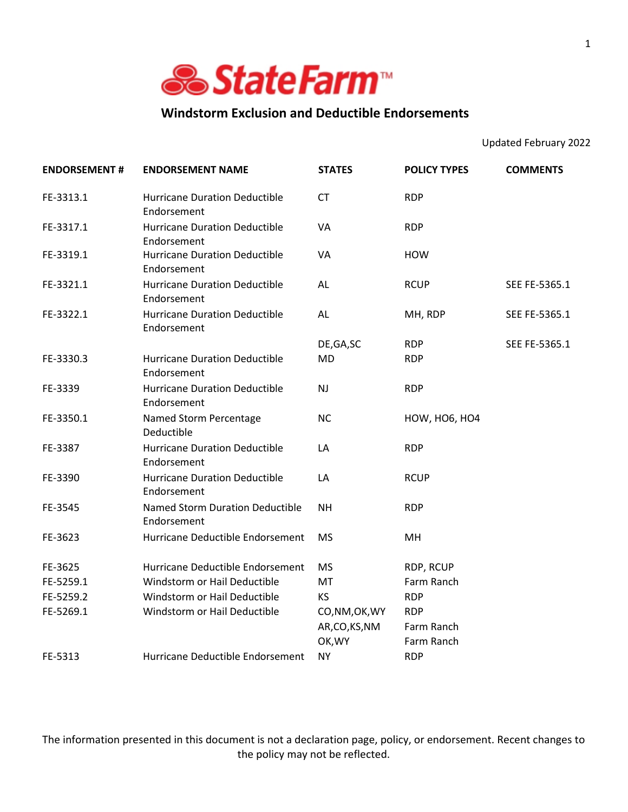

## **Windstorm Exclusion and Deductible Endorsements**

Updated February 2022

| <b>ENDORSEMENT#</b> | <b>ENDORSEMENT NAME</b>                             | <b>STATES</b>  | <b>POLICY TYPES</b>  | <b>COMMENTS</b> |
|---------------------|-----------------------------------------------------|----------------|----------------------|-----------------|
| FE-3313.1           | <b>Hurricane Duration Deductible</b><br>Endorsement | <b>CT</b>      | <b>RDP</b>           |                 |
| FE-3317.1           | <b>Hurricane Duration Deductible</b><br>Endorsement | VA             | <b>RDP</b>           |                 |
| FE-3319.1           | <b>Hurricane Duration Deductible</b><br>Endorsement | <b>VA</b>      | <b>HOW</b>           |                 |
| FE-3321.1           | <b>Hurricane Duration Deductible</b><br>Endorsement | AL             | <b>RCUP</b>          | SEE FE-5365.1   |
| FE-3322.1           | <b>Hurricane Duration Deductible</b><br>Endorsement | AL             | MH, RDP              | SEE FE-5365.1   |
|                     |                                                     | DE, GA, SC     | <b>RDP</b>           | SEE FE-5365.1   |
| FE-3330.3           | <b>Hurricane Duration Deductible</b><br>Endorsement | <b>MD</b>      | <b>RDP</b>           |                 |
| FE-3339             | <b>Hurricane Duration Deductible</b><br>Endorsement | <b>NJ</b>      | <b>RDP</b>           |                 |
| FE-3350.1           | Named Storm Percentage<br>Deductible                | <b>NC</b>      | <b>HOW, HO6, HO4</b> |                 |
| FE-3387             | <b>Hurricane Duration Deductible</b><br>Endorsement | LA             | <b>RDP</b>           |                 |
| FE-3390             | <b>Hurricane Duration Deductible</b><br>Endorsement | LA             | <b>RCUP</b>          |                 |
| FE-3545             | Named Storm Duration Deductible<br>Endorsement      | <b>NH</b>      | <b>RDP</b>           |                 |
| FE-3623             | Hurricane Deductible Endorsement                    | <b>MS</b>      | MH                   |                 |
| FE-3625             | Hurricane Deductible Endorsement                    | <b>MS</b>      | RDP, RCUP            |                 |
| FE-5259.1           | Windstorm or Hail Deductible                        | MT             | Farm Ranch           |                 |
| FE-5259.2           | Windstorm or Hail Deductible                        | <b>KS</b>      | <b>RDP</b>           |                 |
| FE-5269.1           | Windstorm or Hail Deductible                        | CO, NM, OK, WY | <b>RDP</b>           |                 |
|                     |                                                     | AR,CO,KS,NM    | Farm Ranch           |                 |
|                     |                                                     | OK, WY         | Farm Ranch           |                 |
| FE-5313             | Hurricane Deductible Endorsement                    | <b>NY</b>      | <b>RDP</b>           |                 |

The information presented in this document is not a declaration page, policy, or endorsement. Recent changes to the policy may not be reflected.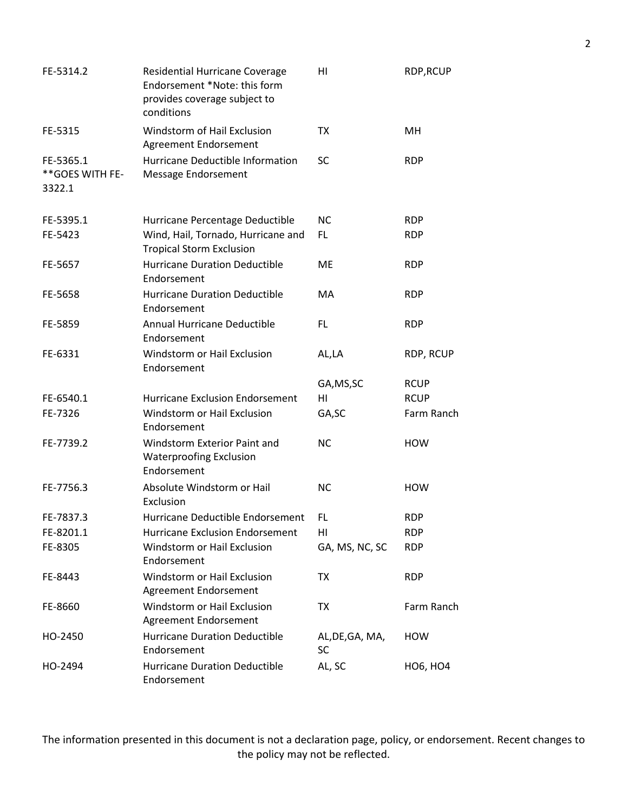| FE-5314.2                               | <b>Residential Hurricane Coverage</b><br>Endorsement *Note: this form<br>provides coverage subject to<br>conditions | HI                    | RDP, RCUP       |
|-----------------------------------------|---------------------------------------------------------------------------------------------------------------------|-----------------------|-----------------|
| FE-5315                                 | Windstorm of Hail Exclusion<br>Agreement Endorsement                                                                | <b>TX</b>             | MН              |
| FE-5365.1<br>** GOES WITH FE-<br>3322.1 | Hurricane Deductible Information<br>Message Endorsement                                                             | <b>SC</b>             | <b>RDP</b>      |
| FE-5395.1                               | Hurricane Percentage Deductible                                                                                     | <b>NC</b>             | <b>RDP</b>      |
| FE-5423                                 | Wind, Hail, Tornado, Hurricane and<br><b>Tropical Storm Exclusion</b>                                               | FL.                   | <b>RDP</b>      |
| FE-5657                                 | <b>Hurricane Duration Deductible</b><br>Endorsement                                                                 | ME                    | <b>RDP</b>      |
| FE-5658                                 | <b>Hurricane Duration Deductible</b><br>Endorsement                                                                 | <b>MA</b>             | <b>RDP</b>      |
| FE-5859                                 | Annual Hurricane Deductible<br>Endorsement                                                                          | FL                    | <b>RDP</b>      |
| FE-6331                                 | Windstorm or Hail Exclusion<br>Endorsement                                                                          | AL,LA                 | RDP, RCUP       |
|                                         |                                                                                                                     | GA, MS, SC            | <b>RCUP</b>     |
| FE-6540.1                               | <b>Hurricane Exclusion Endorsement</b>                                                                              | HI                    | <b>RCUP</b>     |
| FE-7326                                 | Windstorm or Hail Exclusion<br>Endorsement                                                                          | GA, SC                | Farm Ranch      |
| FE-7739.2                               | Windstorm Exterior Paint and<br><b>Waterproofing Exclusion</b><br>Endorsement                                       | <b>NC</b>             | <b>HOW</b>      |
| FE-7756.3                               | Absolute Windstorm or Hail<br>Exclusion                                                                             | <b>NC</b>             | <b>HOW</b>      |
| FE-7837.3                               | Hurricane Deductible Endorsement                                                                                    | FL                    | <b>RDP</b>      |
| FE-8201.1                               | Hurricane Exclusion Endorsement                                                                                     | HI                    | <b>RDP</b>      |
| FE-8305                                 | Windstorm or Hail Exclusion<br>Endorsement                                                                          | GA, MS, NC, SC        | <b>RDP</b>      |
| FE-8443                                 | Windstorm or Hail Exclusion<br>Agreement Endorsement                                                                | ТX                    | <b>RDP</b>      |
| FE-8660                                 | Windstorm or Hail Exclusion<br>Agreement Endorsement                                                                | ТX                    | Farm Ranch      |
| HO-2450                                 | <b>Hurricane Duration Deductible</b><br>Endorsement                                                                 | AL, DE, GA, MA,<br>SC | <b>HOW</b>      |
| HO-2494                                 | <b>Hurricane Duration Deductible</b><br>Endorsement                                                                 | AL, SC                | <b>HO6, HO4</b> |

The information presented in this document is not a declaration page, policy, or endorsement. Recent changes to the policy may not be reflected.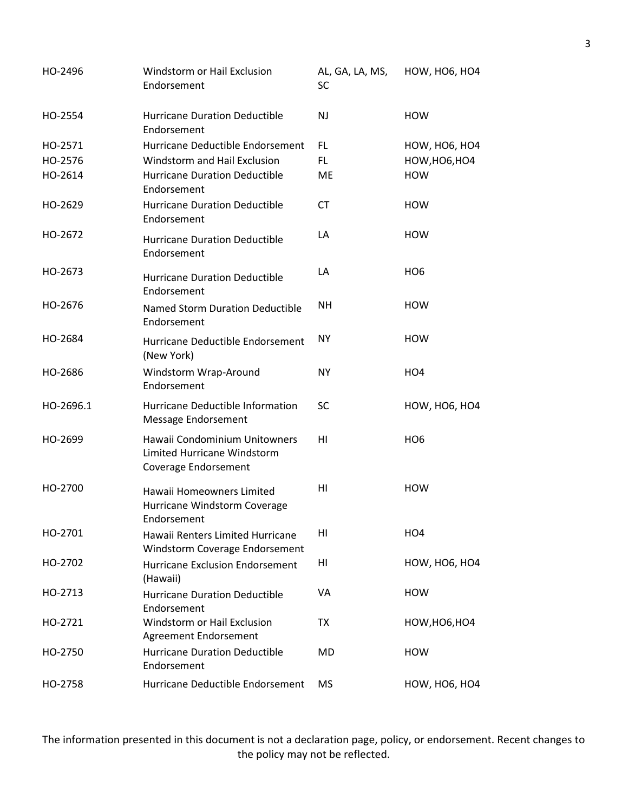| HO-2496   | Windstorm or Hail Exclusion<br>Endorsement                                           | AL, GA, LA, MS,<br><b>SC</b> | <b>HOW, HO6, HO4</b> |
|-----------|--------------------------------------------------------------------------------------|------------------------------|----------------------|
| HO-2554   | <b>Hurricane Duration Deductible</b><br>Endorsement                                  | <b>NJ</b>                    | <b>HOW</b>           |
| HO-2571   | Hurricane Deductible Endorsement                                                     | FL.                          | <b>HOW, HO6, HO4</b> |
| HO-2576   | Windstorm and Hail Exclusion                                                         | FL.                          | HOW, HO6, HO4        |
| HO-2614   | <b>Hurricane Duration Deductible</b><br>Endorsement                                  | <b>ME</b>                    | <b>HOW</b>           |
| HO-2629   | <b>Hurricane Duration Deductible</b><br>Endorsement                                  | <b>CT</b>                    | <b>HOW</b>           |
| HO-2672   | <b>Hurricane Duration Deductible</b><br>Endorsement                                  | LA                           | <b>HOW</b>           |
| HO-2673   | <b>Hurricane Duration Deductible</b><br>Endorsement                                  | LA                           | HO <sub>6</sub>      |
| HO-2676   | Named Storm Duration Deductible<br>Endorsement                                       | <b>NH</b>                    | <b>HOW</b>           |
| HO-2684   | Hurricane Deductible Endorsement<br>(New York)                                       | <b>NY</b>                    | <b>HOW</b>           |
| HO-2686   | Windstorm Wrap-Around<br>Endorsement                                                 | <b>NY</b>                    | HO <sub>4</sub>      |
| HO-2696.1 | Hurricane Deductible Information<br>Message Endorsement                              | <b>SC</b>                    | <b>HOW, HO6, HO4</b> |
| HO-2699   | Hawaii Condominium Unitowners<br>Limited Hurricane Windstorm<br>Coverage Endorsement | HI                           | HO <sub>6</sub>      |
| HO-2700   | Hawaii Homeowners Limited<br>Hurricane Windstorm Coverage<br>Endorsement             | HI                           | <b>HOW</b>           |
| HO-2701   | Hawaii Renters Limited Hurricane<br>Windstorm Coverage Endorsement                   | HI                           | HO <sub>4</sub>      |
| HO-2702   | Hurricane Exclusion Endorsement<br>(Hawaii)                                          | HI                           | <b>HOW, HO6, HO4</b> |
| HO-2713   | <b>Hurricane Duration Deductible</b><br>Endorsement                                  | VA                           | <b>HOW</b>           |
| HO-2721   | Windstorm or Hail Exclusion<br>Agreement Endorsement                                 | TX                           | <b>HOW, HO6, HO4</b> |
| HO-2750   | <b>Hurricane Duration Deductible</b><br>Endorsement                                  | MD                           | <b>HOW</b>           |
| HO-2758   | Hurricane Deductible Endorsement                                                     | <b>MS</b>                    | <b>HOW, HO6, HO4</b> |

The information presented in this document is not a declaration page, policy, or endorsement. Recent changes to the policy may not be reflected.